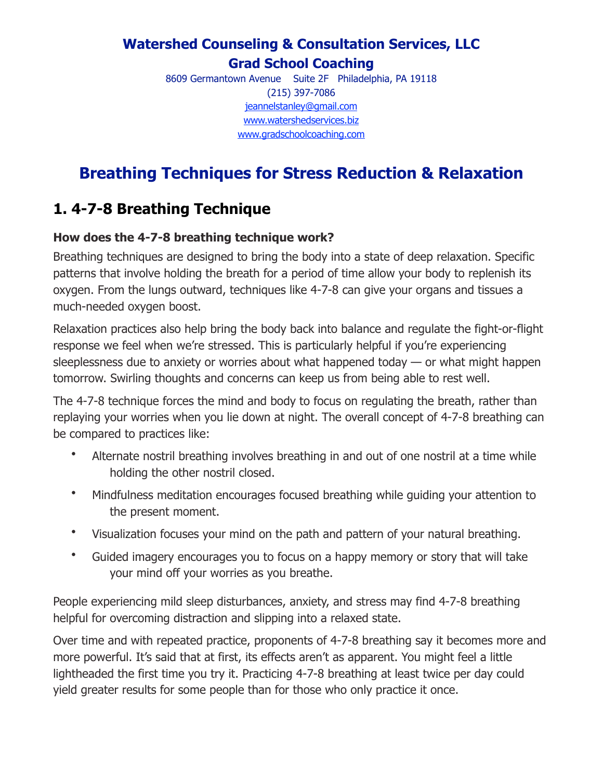## **Watershed Counseling & Consultation Services, LLC Grad School Coaching**

8609 Germantown Avenue Suite 2F Philadelphia, PA 19118 (215) 397-7086 [jeannelstanley@gmail.com](http://jeannelstanley@gmail.com) [www.watershedservices.biz](http://www.watershedservices.biz/) [www.gradschoolcoaching.com](http://www.gradschoolcoaching.com/)

# **Breathing Techniques for Stress Reduction & Relaxation**

## **1. 4-7-8 Breathing Technique**

#### **How does the 4-7-8 breathing technique work?**

Breathing techniques are designed to bring the body into a state of deep relaxation. Specific patterns that involve holding the breath for a period of time allow your body to replenish its oxygen. From the lungs outward, techniques like 4-7-8 can give your organs and tissues a much-needed oxygen boost.

Relaxation practices also help bring the body back into balance and regulate the fight-or-flight response we feel when we're stressed. This is particularly helpful if you're experiencing sleeplessness due to anxiety or worries about what happened today — or what might happen tomorrow. Swirling thoughts and concerns can keep us from being able to rest well.

The 4-7-8 technique forces the mind and body to focus on regulating the breath, rather than replaying your worries when you lie down at night. The overall concept of 4-7-8 breathing can be compared to practices like:

- Alternate nostril breathing involves breathing in and out of one nostril at a time while holding the other nostril closed.
- Mindfulness meditation encourages focused breathing while guiding your attention to the present moment.
- Visualization focuses your mind on the path and pattern of your natural breathing.
- Guided imagery encourages you to focus on a happy memory or story that will take your mind off your worries as you breathe.

People experiencing mild sleep disturbances, anxiety, and stress may find 4-7-8 breathing helpful for overcoming distraction and slipping into a relaxed state.

Over time and with repeated practice, proponents of 4-7-8 breathing say it becomes more and more powerful. It's said that at first, its effects aren't as apparent. You might feel a little lightheaded the first time you try it. Practicing 4-7-8 breathing at least twice per day could yield greater results for some people than for those who only practice it once.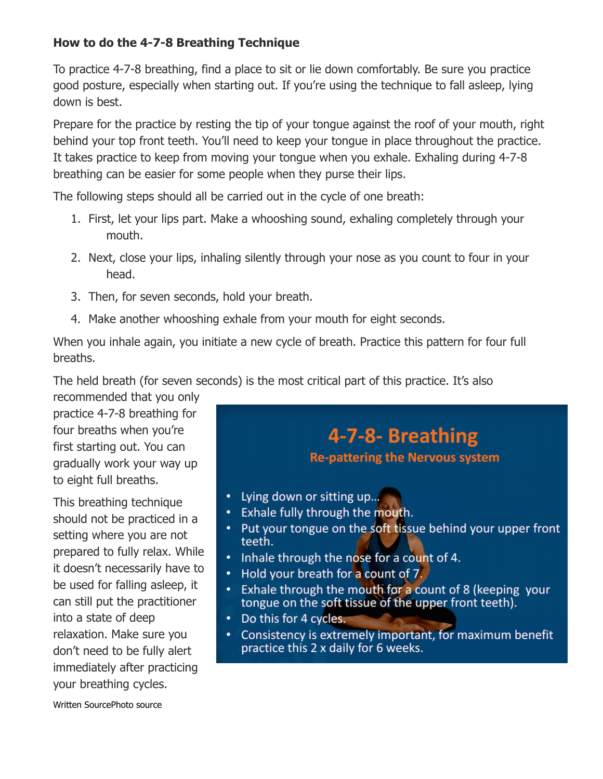#### **How to do the 4-7-8 Breathing Technique**

To practice 4-7-8 breathing, find a place to sit or lie down comfortably. Be sure you practice good posture, especially when starting out. If you're using the technique to fall asleep, lying down is best.

Prepare for the practice by resting the tip of your tongue against the roof of your mouth, right behind your top front teeth. You'll need to keep your tongue in place throughout the practice. It takes practice to keep from moving your tongue when you exhale. Exhaling during 4-7-8 breathing can be easier for some people when they purse their lips.

The following steps should all be carried out in the cycle of one breath:

- 1. First, let your lips part. Make a whooshing sound, exhaling completely through your mouth.
- 2. Next, close your lips, inhaling silently through your nose as you count to four in your head.
- 3. Then, for seven seconds, hold your breath.
- 4. Make another whooshing exhale from your mouth for eight seconds.

When you inhale again, you initiate a new cycle of breath. Practice this pattern for four full breaths.

The held breath (for seven seconds) is the most critical part of this practice. It's also

recommended that you only practice 4-7-8 breathing for four breaths when you're first starting out. You can gradually work your way up to eight full breaths.

This breathing technique should not be practiced in a setting where you are not prepared to fully relax. While it doesn't necessarily have to be used for falling asleep, it can still put the practitioner into a state of deep relaxation. Make sure you don't need to be fully alert immediately after practicing your breathing cycles.

# 4-7-8- Breathing **Re-pattering the Nervous system**

- Lying down or sitting up...  $\bullet$
- Exhale fully through the mouth.
- Put your tongue on the soft tissue behind your upper front teeth.
- Inhale through the nose for a count of 4.
- Hold your breath for a count of 7.
- Exhale through the mouth for a count of 8 (keeping your tongue on the soft tissue of the upper front teeth).
- Do this for 4 cycles.
- Consistency is extremely important, for maximum benefit practice this 2 x daily for 6 weeks.